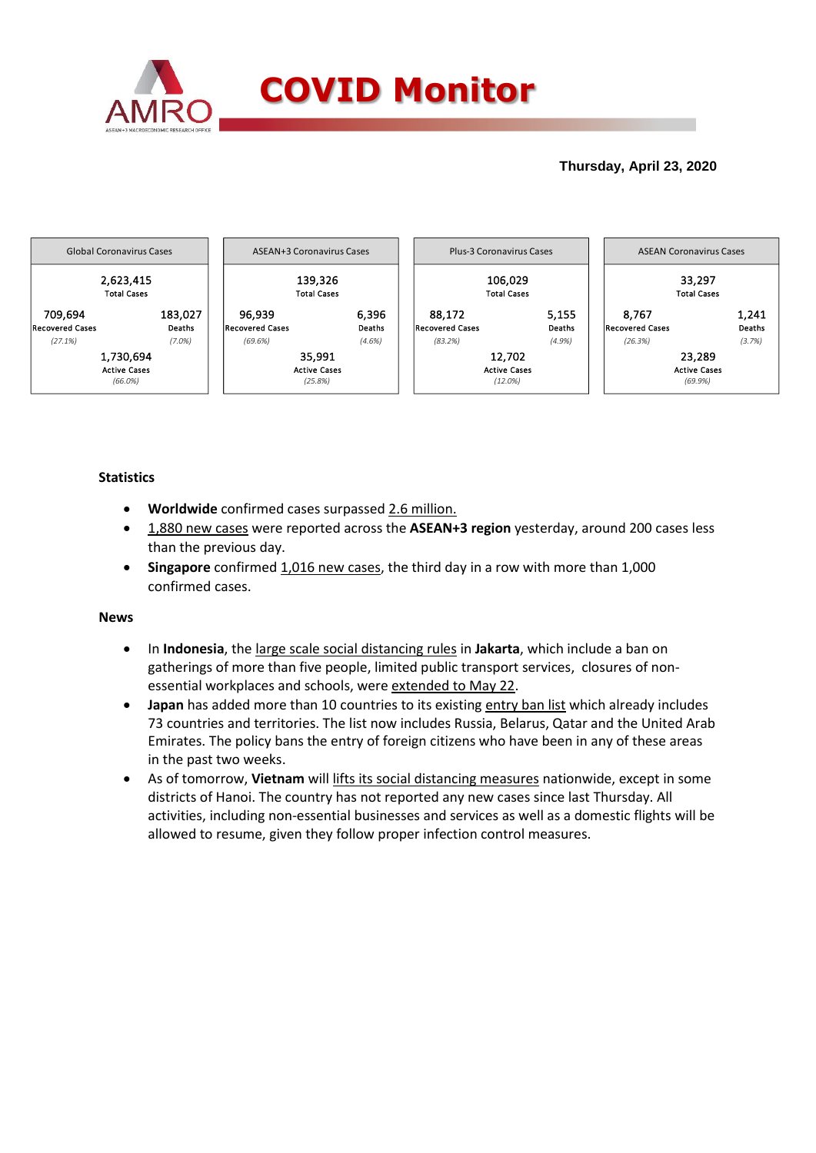

## **Thursday, April 23, 2020**



## **Statistics**

- **Worldwide** confirmed cases surpassed 2.6 million.
- 1,880 new cases were reported across the **ASEAN+3 region** yesterday, around 200 cases less than the previous day.
- **Singapore** confirmed 1,016 new cases, the third day in a row with more than 1,000 confirmed cases.

## **News**

- In **Indonesia**, the large scale social distancing rules in **Jakarta**, which include a ban on gatherings of more than five people, limited public transport services, closures of nonessential workplaces and schools, were extended to May 22.
- **Japan** has added more than 10 countries to its existing entry ban list which already includes 73 countries and territories. The list now includes Russia, Belarus, Qatar and the United Arab Emirates. The policy bans the entry of foreign citizens who have been in any of these areas in the past two weeks.
- As of tomorrow, **Vietnam** will lifts its social distancing measures nationwide, except in some districts of Hanoi. The country has not reported any new cases since last Thursday. All activities, including non-essential businesses and services as well as a domestic flights will be allowed to resume, given they follow proper infection control measures.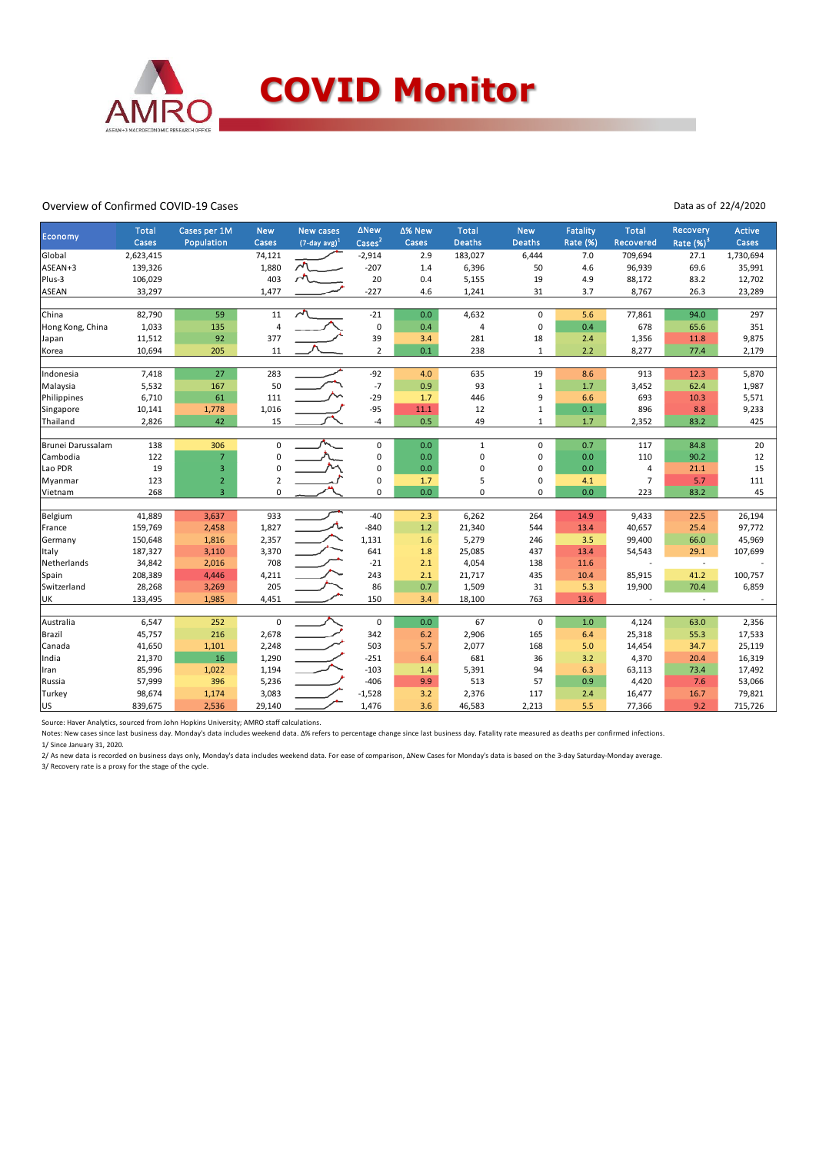

#### Overview of Confirmed COVID-19 Cases

### Data as of 22/4/2020

| Economy           | <b>Total</b>       | Cases per 1M   | <b>New</b>     | <b>New cases</b>            | <b>ANew</b>                 | Δ% New     | <b>Total</b>    | <b>New</b>          | <b>Fatality</b> | <b>Total</b>     | Recovery       | Active           |
|-------------------|--------------------|----------------|----------------|-----------------------------|-----------------------------|------------|-----------------|---------------------|-----------------|------------------|----------------|------------------|
|                   | Cases              | Population     | Cases          | $(7$ -day avg) <sup>1</sup> | $\overline{\text{Cases}^2}$ | Cases      | <b>Deaths</b>   | <b>Deaths</b>       | Rate (%)        | <b>Recovered</b> | Rate $(%)^3$   | Cases            |
| Global            | 2,623,415          |                | 74,121         |                             | $-2,914$                    | 2.9        | 183,027         | 6,444               | 7.0             | 709,694          | 27.1           | 1,730,694        |
| ASEAN+3           | 139,326            |                | 1,880          | $\sqrt{2}$                  | $-207$                      | 1.4        | 6,396           | 50                  | 4.6             | 96,939           | 69.6           | 35,991           |
| Plus-3            | 106,029            |                | 403            | $\sim$                      | 20                          | 0.4        | 5,155           | 19                  | 4.9             | 88,172           | 83.2           | 12,702           |
| ASEAN             | 33,297             |                | 1,477          |                             | $-227$                      | 4.6        | 1,241           | 31                  | 3.7             | 8,767            | 26.3           | 23,289           |
| China             | 82,790             | 59             | 11             | $\sim$                      | $-21$                       | 0.0        | 4,632           | $\mathbf 0$         | 5.6             | 77,861           | 94.0           | 297              |
| Hong Kong, China  | 1,033              | 135            | 4              |                             | 0                           | 0.4        | 4               | $\mathsf{O}\xspace$ | 0.4             | 678              | 65.6           | 351              |
| Japan             | 11,512             | 92             | 377            |                             | 39                          | 3.4        | 281             | 18                  | 2.4             | 1,356            | 11.8           | 9,875            |
| Korea             | 10,694             | 205            | 11             |                             | $\mathbf 2$                 | 0.1        | 238             | $\mathbf{1}$        | 2.2             | 8,277            | 77.4           | 2,179            |
| Indonesia         | 7,418              | 27             | 283            |                             | $-92$                       | 4.0        | 635             | 19                  | 8.6             | 913              | 12.3           | 5,870            |
| Malaysia          | 5,532              | 167            | 50             |                             | $-7$                        | 0.9        | 93              | $1\,$               | $1.7$           | 3,452            | 62.4           | 1,987            |
| Philippines       | 6,710              | 61             | 111            |                             | $-29$                       | 1.7        | 446             | 9                   | 6.6             | 693              | 10.3           | 5,571            |
| Singapore         | 10,141             | 1,778          | 1,016          |                             | $-95$                       | 11.1       | 12              | $\mathbf 1$         | 0.1             | 896              | 8.8            | 9,233            |
| Thailand          | 2,826              | 42             | 15             |                             | $-4$                        | 0.5        | 49              | $\mathbf{1}$        | $1.7$           | 2,352            | 83.2           | 425              |
| Brunei Darussalam | 138                | 306            | $\mathbf 0$    |                             | 0                           | 0.0        | $\mathbf{1}$    | 0                   | 0.7             | 117              | 84.8           | 20               |
| Cambodia          | 122                | $\overline{7}$ | $\mathbf 0$    |                             | 0                           | 0.0        | 0               | $\mathbf 0$         | 0.0             | 110              | 90.2           | 12               |
| Lao PDR           | 19                 | 3              | $\mathbf 0$    |                             | 0                           | 0.0        | 0               | $\mathbf 0$         | 0.0             | 4                | 21.1           | 15               |
| Myanmar           | 123                | $\mathbf 2$    | $\overline{2}$ |                             | 0                           | 1.7        | 5               | 0                   | 4.1             | $\overline{7}$   | 5.7            | 111              |
| Vietnam           | 268                | $\overline{3}$ | $\mathbf 0$    |                             | $\mathbf 0$                 | 0.0        | 0               | 0                   | 0.0             | 223              | 83.2           | 45               |
|                   |                    |                |                |                             |                             |            |                 |                     |                 |                  |                |                  |
| Belgium           | 41,889             | 3,637          | 933            |                             | $-40$<br>$-840$             | 2.3<br>1.2 | 6,262           | 264                 | 14.9            | 9,433            | 22.5           | 26,194           |
| France            | 159,769            | 2,458          | 1,827<br>2,357 |                             |                             | 1.6        | 21,340<br>5,279 | 544                 | 13.4            | 40,657           | 25.4           | 97,772<br>45,969 |
| Germany<br>Italy  | 150,648<br>187,327 | 1,816          | 3,370          |                             | 1,131<br>641                | 1.8        | 25,085          | 246<br>437          | 3.5<br>13.4     | 99,400           | 66.0<br>29.1   | 107,699          |
| Netherlands       | 34,842             | 3,110<br>2,016 | 708            |                             | $-21$                       | 2.1        | 4,054           | 138                 | 11.6            | 54,543           | $\sim$         |                  |
| Spain             | 208,389            | 4,446          | 4,211          |                             | 243                         | 2.1        | 21,717          | 435                 | 10.4            | 85,915           | 41.2           | 100,757          |
| Switzerland       | 28,268             | 3,269          | 205            |                             | 86                          | 0.7        | 1,509           | 31                  | 5.3             | 19,900           | 70.4           | 6,859            |
| UK                | 133,495            | 1,985          | 4,451          |                             | 150                         | 3.4        | 18,100          | 763                 | 13.6            |                  | $\blacksquare$ |                  |
|                   |                    |                |                |                             |                             |            |                 |                     |                 |                  |                |                  |
| Australia         | 6,547              | 252            | 0              |                             | $\mathbf 0$                 | 0.0        | 67              | $\mathbf 0$         | 1.0             | 4,124            | 63.0           | 2,356            |
| Brazil            | 45,757             | 216            | 2,678          |                             | 342                         | 6.2        | 2,906           | 165                 | 6.4             | 25,318           | 55.3           | 17,533           |
| Canada            | 41,650             | 1,101          | 2,248          |                             | 503                         | 5.7        | 2,077           | 168                 | 5.0             | 14,454           | 34.7           | 25,119           |
| India             | 21,370             | 16             | 1,290          |                             | $-251$                      | 6.4        | 681             | 36                  | 3.2             | 4,370            | 20.4           | 16,319           |
| Iran              | 85,996             | 1,022          | 1,194          |                             | $-103$                      | 1.4        | 5,391           | 94                  | 6.3             | 63,113           | 73.4           | 17,492           |
| Russia            | 57,999             | 396            | 5,236          |                             | $-406$                      | 9.9        | 513             | 57                  | 0.9             | 4,420            | 7.6            | 53,066           |
| Turkey            | 98,674             | 1,174          | 3,083          |                             | $-1,528$                    | 3.2        | 2,376           | 117                 | 2.4             | 16,477           | 16.7           | 79,821           |
| US                | 839,675            | 2,536          | 29,140         |                             | 1,476                       | 3.6        | 46,583          | 2,213               | 5.5             | 77,366           | 9.2            | 715,726          |

Source: Haver Analytics, sourced from John Hopkins University; AMRO staff calculations.

Notes: New cases since last business day. Monday's data includes weekend data. Δ% refers to percentage change since last business day. Fatality rate measured as deaths per confirmed infections.

1/ Since January 31, 2020.

2/ As new data is recorded on business days only, Monday's data includes weekend data. For ease of comparison, ΔNew Cases for Monday's data is based on the 3-day Saturday-Monday average. 3/ Recovery rate is a proxy for the stage of the cycle.